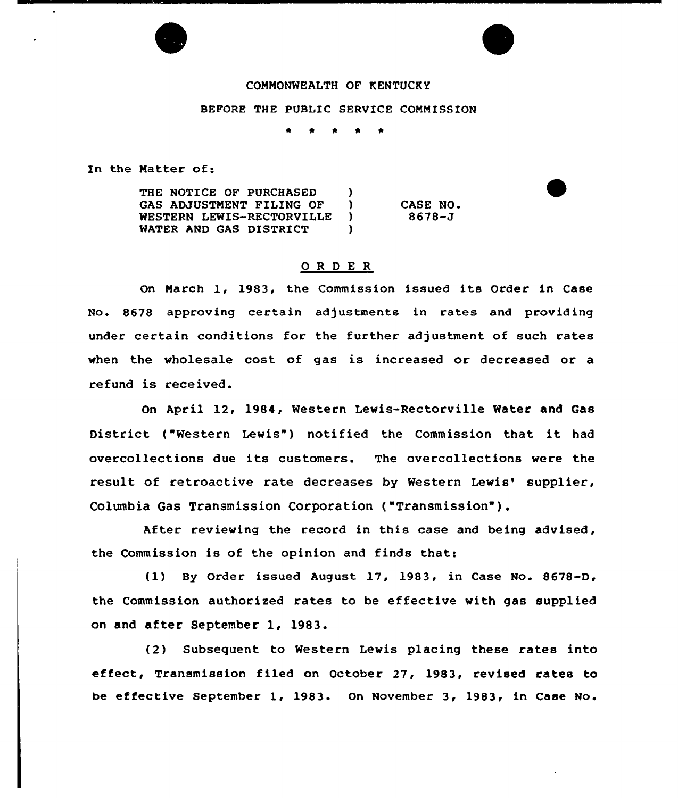## COMMONWEALTH OF KENTUCKY

BEFORE THE PUBLIC SERVICE COMMISSION

In the Matter of:

| THE NOTICE OF PURCHASED         |          |
|---------------------------------|----------|
| <b>GAS ADJUSTMENT FILING OF</b> | CASE NO. |
| WESTERN LEWIS-RECTORVILLE       | 8678–J   |
| <b>WATER AND GAS DISTRICT</b>   |          |

## ORDER

On March 1, 1983, the Commission issued its Order in Case No. 8678 approving certain adjustments in rates and providing under certain conditions for the further adjustment of such rates when the wholesale cost of gas is increased or decreased or a refund is received.

On April 12, 1984, Western Lewis-Rectorville Water and Gas District ("Western Lewis") notified the Commission that it had overcollections due its customers. The overcollections were the result of retroactive rate decreases by Western Lewis' supplier, Columbia Gas Transmission Corporation {"Transmission").

After reviewing the record in this case and being advised, the Commission is of the opinion and finds that:

(1} By Order issued August 17, 1983, in Case No. 8678-D, the Commission authorized rates to be effective with gas supplied on and after September l, 1983.

(2) Subsequent to Western Lewis placing these rates into effect, Transmission filed on October 27, 1983, revised rates to be effective September 1, 1983. On November 3, 1983, in Case No.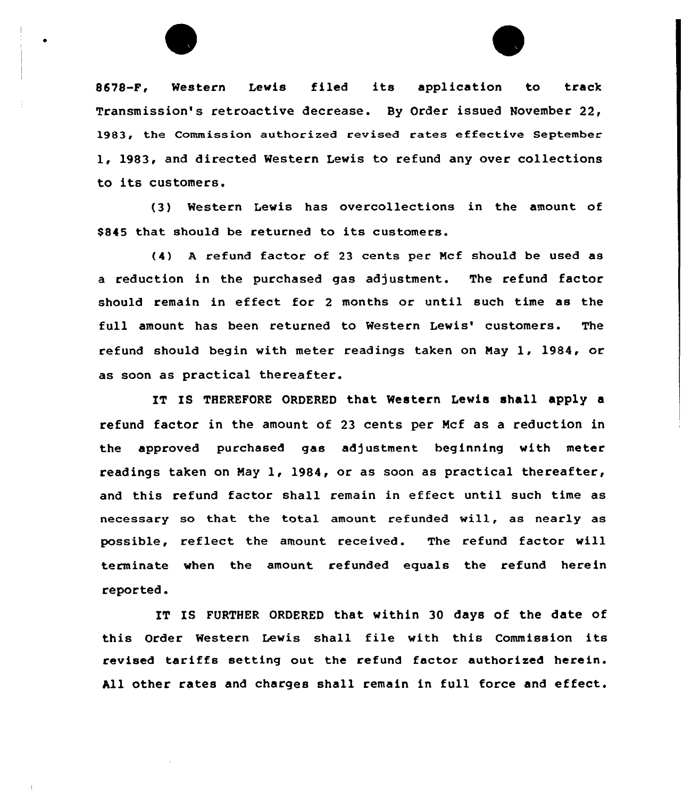

8678-F, Western Lewis filed its application to track Transmission's retroactive decrease. By Order issued November 22, 1983, the Commission authorized revised rates effective September 1, 1983, and directed Western Lewis to refund any over collections to its customers.

(3) Western Lewis has overcollections in the amount of S845 that should be returned to its customers.

(4) <sup>A</sup> refund factor of 23 cents per Mcf should be used as a reduction in the purchased gas adjustment. The refund factor should remain in effect for <sup>2</sup> months or until such time as the full amount has been returned to Western Lewis' customers. The refund should begin with meter readings taken on May 1, 1984, or as soon as practical thereafter.

IT IS THEREFORE ORDERED that Western Lewis shall apply a refund factor in the amount of 23 cents per Mcf as a reduction in the approved purchased gas adjustment beginning with meter readings taken on May 1, 1984, or as soon as practical thereafter, and this refund factor shall remain in effect until such time as necessary so that the total amount refunded will, as nearly as possible, reflect the amount received. The refund factor will terminate when the amount refunded equals the refund herein reported.

IT IS FURTHER ORDERED that within 30 days of the date of this Order Western Lewis shall file with this Commission its revised tariffs setting out the refund factor authorised herein. All other rates and charges shall remain in full force and effect.